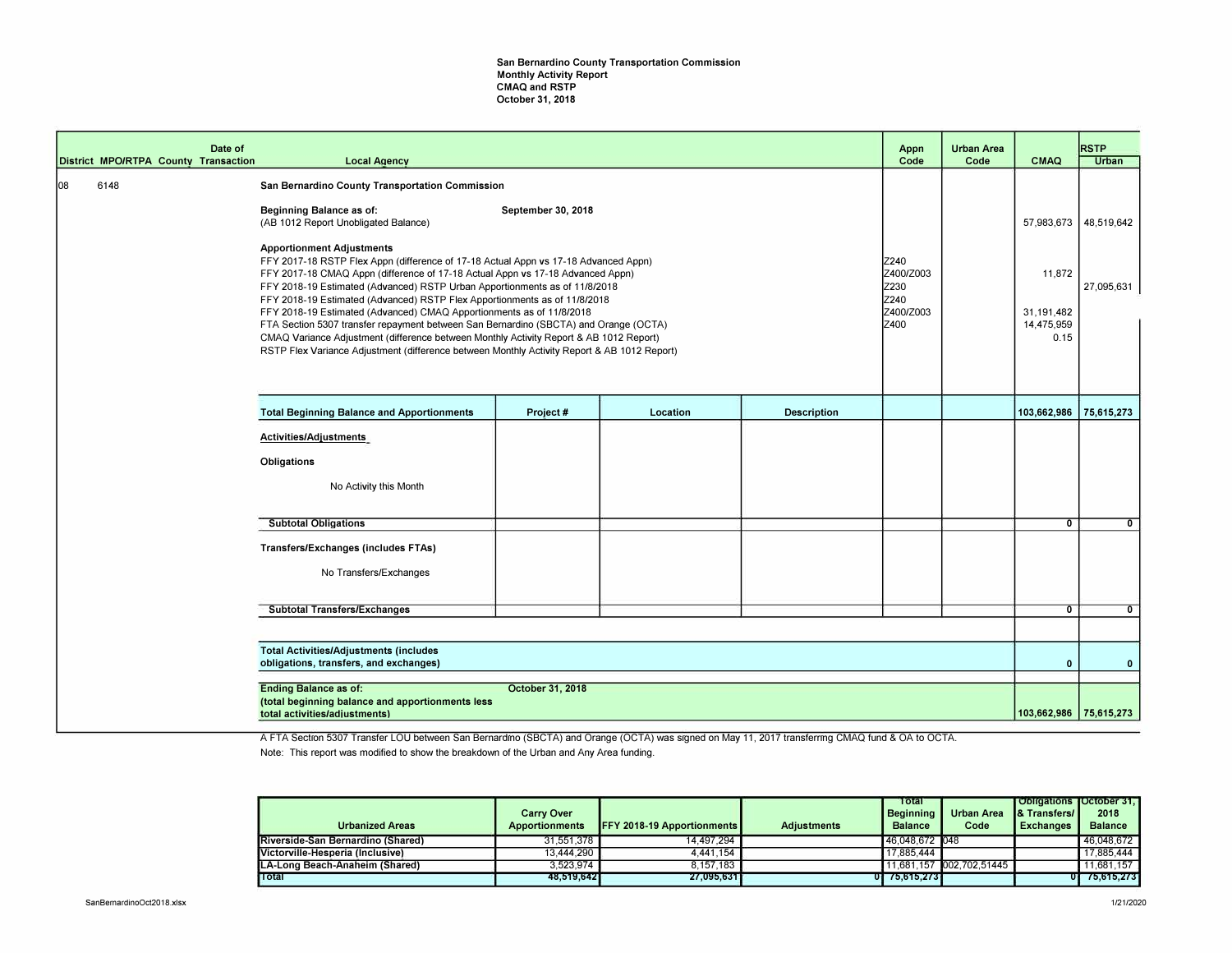## San Bernardino County Transportation Commission Monthly Activity Report CMAQ and RSTP October 31, 2018

|    |                                      | Date of |                                                                                                                                                                                                                                                                                                                                                                                                                                                                                                                                                                                                                                                                                                                               |                    |          |             | Appn                                                    | <b>Urban Area</b> |                                            | <b>RSTP</b>  |
|----|--------------------------------------|---------|-------------------------------------------------------------------------------------------------------------------------------------------------------------------------------------------------------------------------------------------------------------------------------------------------------------------------------------------------------------------------------------------------------------------------------------------------------------------------------------------------------------------------------------------------------------------------------------------------------------------------------------------------------------------------------------------------------------------------------|--------------------|----------|-------------|---------------------------------------------------------|-------------------|--------------------------------------------|--------------|
|    | District MPO/RTPA County Transaction |         | <b>Local Agency</b>                                                                                                                                                                                                                                                                                                                                                                                                                                                                                                                                                                                                                                                                                                           |                    |          |             | Code                                                    | Code              | <b>CMAQ</b>                                | <b>Urban</b> |
| 08 | 6148                                 |         | San Bernardino County Transportation Commission<br>Beginning Balance as of:                                                                                                                                                                                                                                                                                                                                                                                                                                                                                                                                                                                                                                                   | September 30, 2018 |          |             |                                                         |                   |                                            |              |
|    |                                      |         | (AB 1012 Report Unobligated Balance)                                                                                                                                                                                                                                                                                                                                                                                                                                                                                                                                                                                                                                                                                          |                    |          |             |                                                         |                   | 57,983,673                                 | 48,519,642   |
|    |                                      |         | <b>Apportionment Adjustments</b><br>FFY 2017-18 RSTP Flex Appn (difference of 17-18 Actual Appn vs 17-18 Advanced Appn)<br>FFY 2017-18 CMAQ Appn (difference of 17-18 Actual Appn vs 17-18 Advanced Appn)<br>FFY 2018-19 Estimated (Advanced) RSTP Urban Apportionments as of 11/8/2018<br>FFY 2018-19 Estimated (Advanced) RSTP Flex Apportionments as of 11/8/2018<br>FFY 2018-19 Estimated (Advanced) CMAQ Apportionments as of 11/8/2018<br>FTA Section 5307 transfer repayment between San Bernardino (SBCTA) and Orange (OCTA)<br>CMAQ Variance Adjustment (difference between Monthly Activity Report & AB 1012 Report)<br>RSTP Flex Variance Adjustment (difference between Monthly Activity Report & AB 1012 Report) |                    |          |             | Z240<br>Z400/Z003<br>Z230<br>Iz240<br>Z400/Z003<br>Z400 |                   | 11,872<br>31,191,482<br>14,475,959<br>0.15 | 27,095,631   |
|    |                                      |         | <b>Total Beginning Balance and Apportionments</b>                                                                                                                                                                                                                                                                                                                                                                                                                                                                                                                                                                                                                                                                             | Project#           | Location | Description |                                                         |                   | 103,662,986                                | 75,615,273   |
|    |                                      |         |                                                                                                                                                                                                                                                                                                                                                                                                                                                                                                                                                                                                                                                                                                                               |                    |          |             |                                                         |                   |                                            |              |
|    |                                      |         | Activities/Adjustments                                                                                                                                                                                                                                                                                                                                                                                                                                                                                                                                                                                                                                                                                                        |                    |          |             |                                                         |                   |                                            |              |
|    |                                      |         | Obligations                                                                                                                                                                                                                                                                                                                                                                                                                                                                                                                                                                                                                                                                                                                   |                    |          |             |                                                         |                   |                                            |              |
|    |                                      |         | No Activity this Month                                                                                                                                                                                                                                                                                                                                                                                                                                                                                                                                                                                                                                                                                                        |                    |          |             |                                                         |                   |                                            |              |
|    |                                      |         | <b>Subtotal Obligations</b>                                                                                                                                                                                                                                                                                                                                                                                                                                                                                                                                                                                                                                                                                                   |                    |          |             |                                                         |                   | $\overline{0}$                             | $\mathbf{0}$ |
|    |                                      |         | Transfers/Exchanges (includes FTAs)<br>No Transfers/Exchanges                                                                                                                                                                                                                                                                                                                                                                                                                                                                                                                                                                                                                                                                 |                    |          |             |                                                         |                   |                                            |              |
|    |                                      |         |                                                                                                                                                                                                                                                                                                                                                                                                                                                                                                                                                                                                                                                                                                                               |                    |          |             |                                                         |                   |                                            |              |
|    |                                      |         | <b>Subtotal Transfers/Exchanges</b>                                                                                                                                                                                                                                                                                                                                                                                                                                                                                                                                                                                                                                                                                           |                    |          |             |                                                         |                   | $\overline{0}$                             | $\mathbf{0}$ |
|    |                                      |         |                                                                                                                                                                                                                                                                                                                                                                                                                                                                                                                                                                                                                                                                                                                               |                    |          |             |                                                         |                   |                                            |              |
|    |                                      |         | <b>Total Activities/Adjustments (includes</b><br>obligations, transfers, and exchanges)                                                                                                                                                                                                                                                                                                                                                                                                                                                                                                                                                                                                                                       |                    |          |             |                                                         |                   | $\mathbf{0}$                               | $\mathbf{0}$ |
|    |                                      |         | <b>Ending Balance as of:</b>                                                                                                                                                                                                                                                                                                                                                                                                                                                                                                                                                                                                                                                                                                  | October 31, 2018   |          |             |                                                         |                   |                                            |              |
|    |                                      |         | (total beginning balance and apportionments less<br>total activities/adjustments)                                                                                                                                                                                                                                                                                                                                                                                                                                                                                                                                                                                                                                             |                    |          |             |                                                         |                   | 103,662,986 75,615,273                     |              |

A FTA Section 5307 Transfer LOU between San Bernardino (SBCTA) and Orange (OCTA) was signed on May 11, 2017 transfernng CMAQ fund & OA to OCTA.

Note: This report was modified to show the breakdown of the Urban and Any Area funding.

|                          | 46.048.672 |
|--------------------------|------------|
|                          | 17,885,444 |
| 11,681,157 002,702,51445 | 11.681.157 |
| 01.                      | 75.615.273 |
|                          |            |